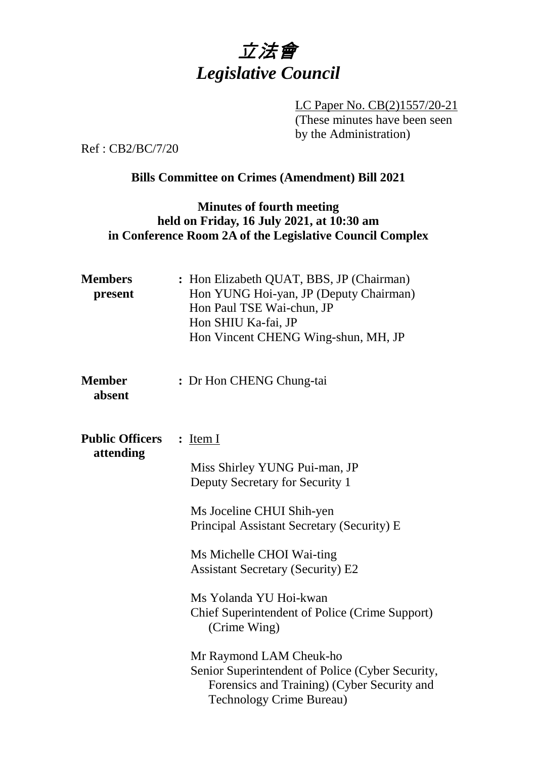

LC Paper No. CB(2)1557/20-21 (These minutes have been seen by the Administration)

Ref : CB2/BC/7/20

# **Bills Committee on Crimes (Amendment) Bill 2021**

# **Minutes of fourth meeting held on Friday, 16 July 2021, at 10:30 am in Conference Room 2A of the Legislative Council Complex**

| <b>Members</b><br>present | : Hon Elizabeth QUAT, BBS, JP (Chairman)<br>Hon YUNG Hoi-yan, JP (Deputy Chairman)<br>Hon Paul TSE Wai-chun, JP<br>Hon SHIU Ka-fai, JP<br>Hon Vincent CHENG Wing-shun, MH, JP |
|---------------------------|-------------------------------------------------------------------------------------------------------------------------------------------------------------------------------|
| <b>Member</b><br>absent   | : Dr Hon CHENG Chung-tai                                                                                                                                                      |
| <b>Public Officers</b>    | $:$ Item I                                                                                                                                                                    |
| attending                 | Miss Shirley YUNG Pui-man, JP<br>Deputy Secretary for Security 1                                                                                                              |
|                           | Ms Joceline CHUI Shih-yen<br>Principal Assistant Secretary (Security) E                                                                                                       |
|                           | Ms Michelle CHOI Wai-ting<br><b>Assistant Secretary (Security) E2</b>                                                                                                         |
|                           | Ms Yolanda YU Hoi-kwan<br><b>Chief Superintendent of Police (Crime Support)</b><br>(Crime Wing)                                                                               |
|                           | Mr Raymond LAM Cheuk-ho<br>Senior Superintendent of Police (Cyber Security,<br>Forensics and Training) (Cyber Security and<br><b>Technology Crime Bureau)</b>                 |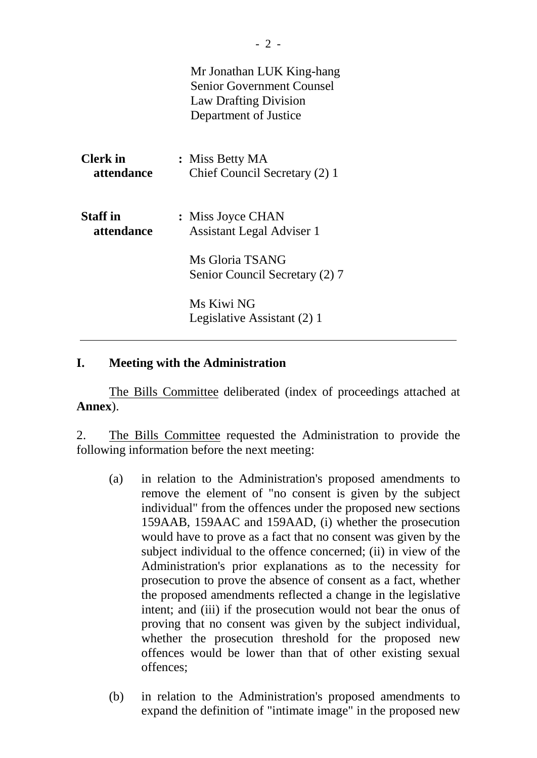|                               | Mr Jonathan LUK King-hang<br><b>Senior Government Counsel</b><br><b>Law Drafting Division</b><br>Department of Justice |
|-------------------------------|------------------------------------------------------------------------------------------------------------------------|
| <b>Clerk</b> in<br>attendance | : Miss Betty MA<br>Chief Council Secretary (2) 1                                                                       |
| <b>Staff</b> in<br>attendance | : Miss Joyce CHAN<br><b>Assistant Legal Adviser 1</b>                                                                  |
|                               | Ms Gloria TSANG<br>Senior Council Secretary (2) 7                                                                      |
|                               | Ms Kiwi NG<br>Legislative Assistant (2) 1                                                                              |

#### **I. Meeting with the Administration**

The Bills Committee deliberated (index of proceedings attached at **Annex**).

2. The Bills Committee requested the Administration to provide the following information before the next meeting:

- (a) in relation to the Administration's proposed amendments to remove the element of "no consent is given by the subject individual" from the offences under the proposed new sections 159AAB, 159AAC and 159AAD, (i) whether the prosecution would have to prove as a fact that no consent was given by the subject individual to the offence concerned; (ii) in view of the Administration's prior explanations as to the necessity for prosecution to prove the absence of consent as a fact, whether the proposed amendments reflected a change in the legislative intent; and (iii) if the prosecution would not bear the onus of proving that no consent was given by the subject individual, whether the prosecution threshold for the proposed new offences would be lower than that of other existing sexual offences;
- (b) in relation to the Administration's proposed amendments to expand the definition of "intimate image" in the proposed new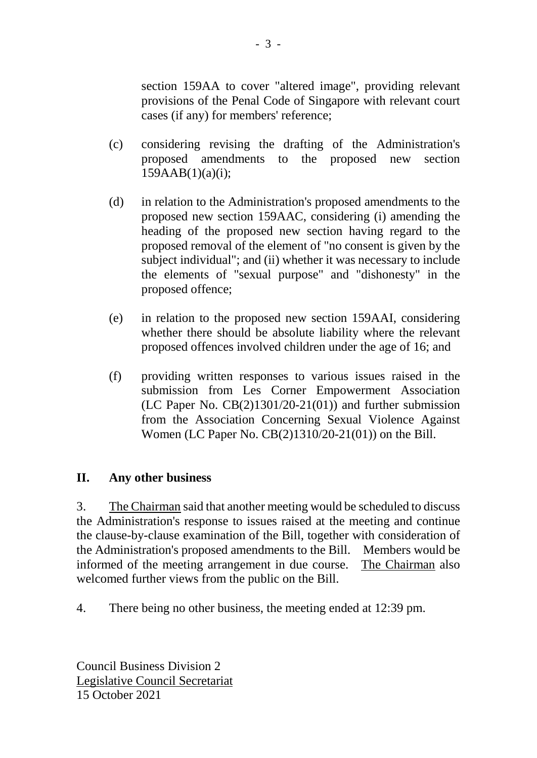section 159AA to cover "altered image", providing relevant provisions of the Penal Code of Singapore with relevant court cases (if any) for members' reference;

- (c) considering revising the drafting of the Administration's proposed amendments to the proposed new section  $159AAB(1)(a)(i);$
- (d) in relation to the Administration's proposed amendments to the proposed new section 159AAC, considering (i) amending the heading of the proposed new section having regard to the proposed removal of the element of "no consent is given by the subject individual"; and (ii) whether it was necessary to include the elements of "sexual purpose" and "dishonesty" in the proposed offence;
- (e) in relation to the proposed new section 159AAI, considering whether there should be absolute liability where the relevant proposed offences involved children under the age of 16; and
- (f) providing written responses to various issues raised in the submission from Les Corner Empowerment Association (LC Paper No.  $CB(2)1301/20-21(01)$ ) and further submission from the Association Concerning Sexual Violence Against Women (LC Paper No. CB(2)1310/20-21(01)) on the Bill.

# **II. Any other business**

3. The Chairman said that another meeting would be scheduled to discuss the Administration's response to issues raised at the meeting and continue the clause-by-clause examination of the Bill, together with consideration of the Administration's proposed amendments to the Bill. Members would be informed of the meeting arrangement in due course. The Chairman also welcomed further views from the public on the Bill.

4. There being no other business, the meeting ended at 12:39 pm.

Council Business Division 2 Legislative Council Secretariat 15 October 2021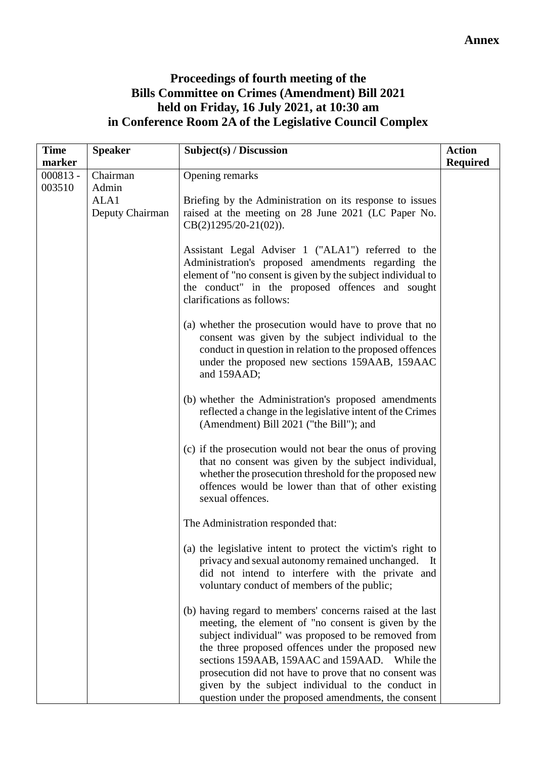# **Proceedings of fourth meeting of the Bills Committee on Crimes (Amendment) Bill 2021 held on Friday, 16 July 2021, at 10:30 am in Conference Room 2A of the Legislative Council Complex**

| <b>Time</b> | <b>Speaker</b>  | Subject(s) / Discussion                                                                                                                                                                                                                                                                                                                                                                                                                             | <b>Action</b>   |
|-------------|-----------------|-----------------------------------------------------------------------------------------------------------------------------------------------------------------------------------------------------------------------------------------------------------------------------------------------------------------------------------------------------------------------------------------------------------------------------------------------------|-----------------|
| marker      |                 |                                                                                                                                                                                                                                                                                                                                                                                                                                                     | <b>Required</b> |
| $000813 -$  | Chairman        | Opening remarks                                                                                                                                                                                                                                                                                                                                                                                                                                     |                 |
| 003510      | Admin<br>ALA1   | Briefing by the Administration on its response to issues                                                                                                                                                                                                                                                                                                                                                                                            |                 |
|             | Deputy Chairman | raised at the meeting on 28 June 2021 (LC Paper No.<br>$CB(2)1295/20-21(02)).$                                                                                                                                                                                                                                                                                                                                                                      |                 |
|             |                 | Assistant Legal Adviser 1 ("ALA1") referred to the<br>Administration's proposed amendments regarding the<br>element of "no consent is given by the subject individual to<br>the conduct" in the proposed offences and sought<br>clarifications as follows:                                                                                                                                                                                          |                 |
|             |                 | (a) whether the prosecution would have to prove that no<br>consent was given by the subject individual to the<br>conduct in question in relation to the proposed offences<br>under the proposed new sections 159AAB, 159AAC<br>and 159AAD;                                                                                                                                                                                                          |                 |
|             |                 | (b) whether the Administration's proposed amendments<br>reflected a change in the legislative intent of the Crimes<br>(Amendment) Bill 2021 ("the Bill"); and                                                                                                                                                                                                                                                                                       |                 |
|             |                 | (c) if the prosecution would not bear the onus of proving<br>that no consent was given by the subject individual,<br>whether the prosecution threshold for the proposed new<br>offences would be lower than that of other existing<br>sexual offences.                                                                                                                                                                                              |                 |
|             |                 | The Administration responded that:                                                                                                                                                                                                                                                                                                                                                                                                                  |                 |
|             |                 | (a) the legislative intent to protect the victim's right to<br>privacy and sexual autonomy remained unchanged.<br>- It<br>did not intend to interfere with the private and<br>voluntary conduct of members of the public;                                                                                                                                                                                                                           |                 |
|             |                 | (b) having regard to members' concerns raised at the last<br>meeting, the element of "no consent is given by the<br>subject individual" was proposed to be removed from<br>the three proposed offences under the proposed new<br>sections 159AAB, 159AAC and 159AAD. While the<br>prosecution did not have to prove that no consent was<br>given by the subject individual to the conduct in<br>question under the proposed amendments, the consent |                 |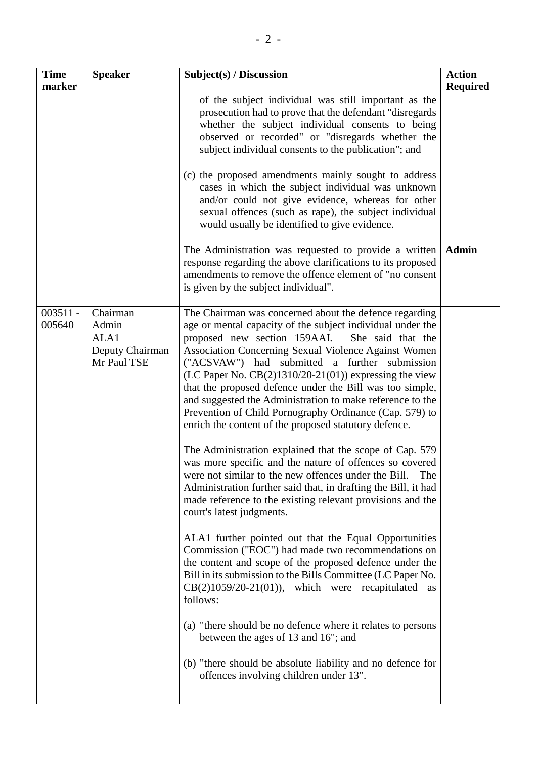| <b>Time</b>          | <b>Speaker</b>                                              | Subject(s) / Discussion                                                                                                                                                                                                                                                                                                                                                                                                                                                                                                                                                                                                                                                                                                                                                                                                                                                                                                                                                                                                                                                                                                                                                                                                                                                                                                                                                                                                                                                   | <b>Action</b>   |
|----------------------|-------------------------------------------------------------|---------------------------------------------------------------------------------------------------------------------------------------------------------------------------------------------------------------------------------------------------------------------------------------------------------------------------------------------------------------------------------------------------------------------------------------------------------------------------------------------------------------------------------------------------------------------------------------------------------------------------------------------------------------------------------------------------------------------------------------------------------------------------------------------------------------------------------------------------------------------------------------------------------------------------------------------------------------------------------------------------------------------------------------------------------------------------------------------------------------------------------------------------------------------------------------------------------------------------------------------------------------------------------------------------------------------------------------------------------------------------------------------------------------------------------------------------------------------------|-----------------|
| marker               |                                                             | of the subject individual was still important as the<br>prosecution had to prove that the defendant "disregards"<br>whether the subject individual consents to being<br>observed or recorded" or "disregards whether the<br>subject individual consents to the publication"; and<br>(c) the proposed amendments mainly sought to address<br>cases in which the subject individual was unknown<br>and/or could not give evidence, whereas for other<br>sexual offences (such as rape), the subject individual<br>would usually be identified to give evidence.                                                                                                                                                                                                                                                                                                                                                                                                                                                                                                                                                                                                                                                                                                                                                                                                                                                                                                             | <b>Required</b> |
|                      |                                                             | The Administration was requested to provide a written<br>response regarding the above clarifications to its proposed<br>amendments to remove the offence element of "no consent<br>is given by the subject individual".                                                                                                                                                                                                                                                                                                                                                                                                                                                                                                                                                                                                                                                                                                                                                                                                                                                                                                                                                                                                                                                                                                                                                                                                                                                   | <b>Admin</b>    |
| $003511 -$<br>005640 | Chairman<br>Admin<br>ALA1<br>Deputy Chairman<br>Mr Paul TSE | The Chairman was concerned about the defence regarding<br>age or mental capacity of the subject individual under the<br>proposed new section 159AAI.<br>She said that the<br>Association Concerning Sexual Violence Against Women<br>("ACSVAW") had submitted a further submission<br>$(LC$ Paper No. $CB(2)1310/20-21(01))$ expressing the view<br>that the proposed defence under the Bill was too simple,<br>and suggested the Administration to make reference to the<br>Prevention of Child Pornography Ordinance (Cap. 579) to<br>enrich the content of the proposed statutory defence.<br>The Administration explained that the scope of Cap. 579<br>was more specific and the nature of offences so covered<br>were not similar to the new offences under the Bill.<br>The<br>Administration further said that, in drafting the Bill, it had<br>made reference to the existing relevant provisions and the<br>court's latest judgments.<br>ALA1 further pointed out that the Equal Opportunities<br>Commission ("EOC") had made two recommendations on<br>the content and scope of the proposed defence under the<br>Bill in its submission to the Bills Committee (LC Paper No.<br>$CB(2)1059/20-21(01)$ , which were recapitulated as<br>follows:<br>(a) "there should be no defence where it relates to persons<br>between the ages of 13 and 16"; and<br>(b) "there should be absolute liability and no defence for<br>offences involving children under 13". |                 |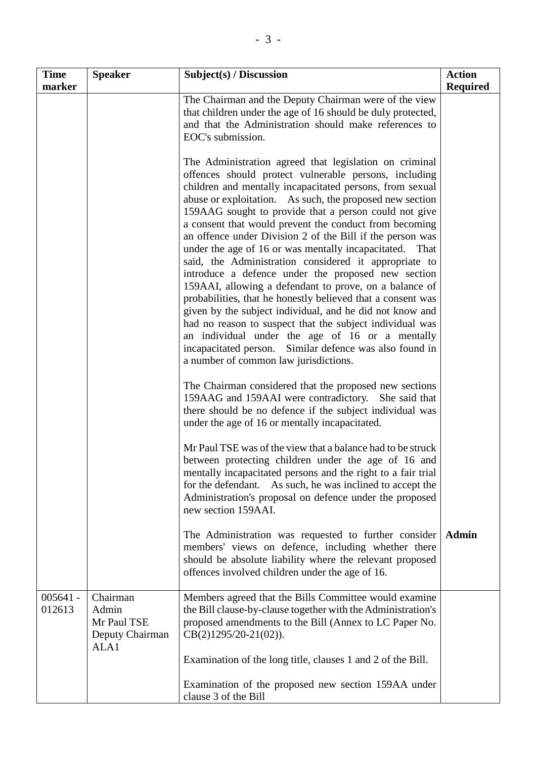| <b>Time</b><br>marker | <b>Speaker</b>                                              | Subject(s) / Discussion                                                                                                                                                                                                                                                                                                                                                                                                                                                                                                                                                                                                                                                                                                                                                                                                                                                                                                                                                                                   | <b>Action</b><br><b>Required</b> |
|-----------------------|-------------------------------------------------------------|-----------------------------------------------------------------------------------------------------------------------------------------------------------------------------------------------------------------------------------------------------------------------------------------------------------------------------------------------------------------------------------------------------------------------------------------------------------------------------------------------------------------------------------------------------------------------------------------------------------------------------------------------------------------------------------------------------------------------------------------------------------------------------------------------------------------------------------------------------------------------------------------------------------------------------------------------------------------------------------------------------------|----------------------------------|
|                       |                                                             | The Chairman and the Deputy Chairman were of the view<br>that children under the age of 16 should be duly protected,<br>and that the Administration should make references to<br>EOC's submission.                                                                                                                                                                                                                                                                                                                                                                                                                                                                                                                                                                                                                                                                                                                                                                                                        |                                  |
|                       |                                                             | The Administration agreed that legislation on criminal<br>offences should protect vulnerable persons, including<br>children and mentally incapacitated persons, from sexual<br>abuse or exploitation. As such, the proposed new section<br>159AAG sought to provide that a person could not give<br>a consent that would prevent the conduct from becoming<br>an offence under Division 2 of the Bill if the person was<br>under the age of 16 or was mentally incapacitated. That<br>said, the Administration considered it appropriate to<br>introduce a defence under the proposed new section<br>159AAI, allowing a defendant to prove, on a balance of<br>probabilities, that he honestly believed that a consent was<br>given by the subject individual, and he did not know and<br>had no reason to suspect that the subject individual was<br>an individual under the age of 16 or a mentally<br>incapacitated person. Similar defence was also found in<br>a number of common law jurisdictions. |                                  |
|                       |                                                             | The Chairman considered that the proposed new sections<br>159AAG and 159AAI were contradictory. She said that<br>there should be no defence if the subject individual was<br>under the age of 16 or mentally incapacitated.                                                                                                                                                                                                                                                                                                                                                                                                                                                                                                                                                                                                                                                                                                                                                                               |                                  |
|                       |                                                             | Mr Paul TSE was of the view that a balance had to be struck<br>between protecting children under the age of 16 and<br>mentally incapacitated persons and the right to a fair trial<br>for the defendant. As such, he was inclined to accept the<br>Administration's proposal on defence under the proposed<br>new section 159AAI.                                                                                                                                                                                                                                                                                                                                                                                                                                                                                                                                                                                                                                                                         |                                  |
|                       |                                                             | The Administration was requested to further consider<br>members' views on defence, including whether there<br>should be absolute liability where the relevant proposed<br>offences involved children under the age of 16.                                                                                                                                                                                                                                                                                                                                                                                                                                                                                                                                                                                                                                                                                                                                                                                 | <b>Admin</b>                     |
| $005641 -$<br>012613  | Chairman<br>Admin<br>Mr Paul TSE<br>Deputy Chairman<br>ALA1 | Members agreed that the Bills Committee would examine<br>the Bill clause-by-clause together with the Administration's<br>proposed amendments to the Bill (Annex to LC Paper No.<br>$CB(2)1295/20-21(02)).$                                                                                                                                                                                                                                                                                                                                                                                                                                                                                                                                                                                                                                                                                                                                                                                                |                                  |
|                       |                                                             | Examination of the long title, clauses 1 and 2 of the Bill.<br>Examination of the proposed new section 159AA under<br>clause 3 of the Bill                                                                                                                                                                                                                                                                                                                                                                                                                                                                                                                                                                                                                                                                                                                                                                                                                                                                |                                  |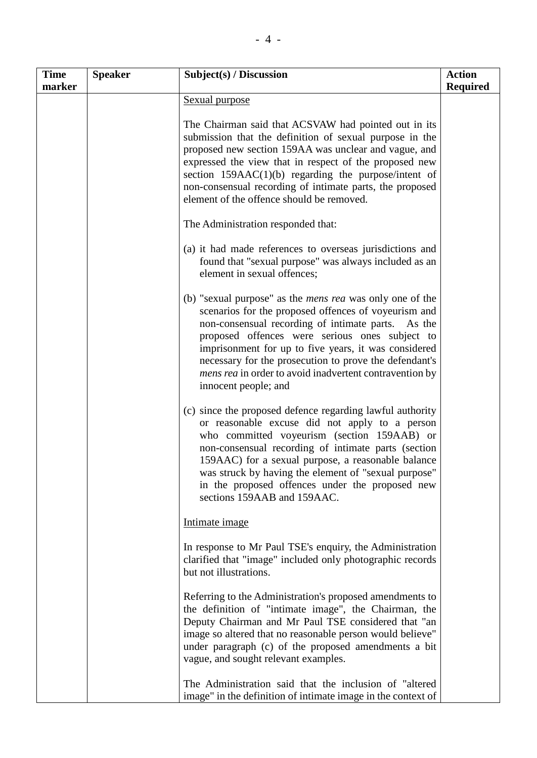| <b>Time</b><br>marker | <b>Speaker</b> | Subject(s) / Discussion                                                                                                                                                                                                                                                                                                                                                                                                              | <b>Action</b><br><b>Required</b> |
|-----------------------|----------------|--------------------------------------------------------------------------------------------------------------------------------------------------------------------------------------------------------------------------------------------------------------------------------------------------------------------------------------------------------------------------------------------------------------------------------------|----------------------------------|
|                       |                | Sexual purpose                                                                                                                                                                                                                                                                                                                                                                                                                       |                                  |
|                       |                | The Chairman said that ACSVAW had pointed out in its<br>submission that the definition of sexual purpose in the<br>proposed new section 159AA was unclear and vague, and<br>expressed the view that in respect of the proposed new<br>section $159AAC(1)(b)$ regarding the purpose/intent of<br>non-consensual recording of intimate parts, the proposed<br>element of the offence should be removed.                                |                                  |
|                       |                | The Administration responded that:                                                                                                                                                                                                                                                                                                                                                                                                   |                                  |
|                       |                | (a) it had made references to overseas jurisdictions and<br>found that "sexual purpose" was always included as an<br>element in sexual offences;                                                                                                                                                                                                                                                                                     |                                  |
|                       |                | (b) "sexual purpose" as the <i>mens rea</i> was only one of the<br>scenarios for the proposed offences of voyeurism and<br>non-consensual recording of intimate parts. As the<br>proposed offences were serious ones subject to<br>imprisonment for up to five years, it was considered<br>necessary for the prosecution to prove the defendant's<br>mens rea in order to avoid inadvertent contravention by<br>innocent people; and |                                  |
|                       |                | (c) since the proposed defence regarding lawful authority<br>or reasonable excuse did not apply to a person<br>who committed voyeurism (section 159AAB) or<br>non-consensual recording of intimate parts (section<br>159AAC) for a sexual purpose, a reasonable balance<br>was struck by having the element of "sexual purpose"<br>in the proposed offences under the proposed new<br>sections 159AAB and 159AAC.                    |                                  |
|                       |                | Intimate image                                                                                                                                                                                                                                                                                                                                                                                                                       |                                  |
|                       |                | In response to Mr Paul TSE's enquiry, the Administration<br>clarified that "image" included only photographic records<br>but not illustrations.                                                                                                                                                                                                                                                                                      |                                  |
|                       |                | Referring to the Administration's proposed amendments to<br>the definition of "intimate image", the Chairman, the<br>Deputy Chairman and Mr Paul TSE considered that "an<br>image so altered that no reasonable person would believe"<br>under paragraph (c) of the proposed amendments a bit<br>vague, and sought relevant examples.                                                                                                |                                  |
|                       |                | The Administration said that the inclusion of "altered<br>image" in the definition of intimate image in the context of                                                                                                                                                                                                                                                                                                               |                                  |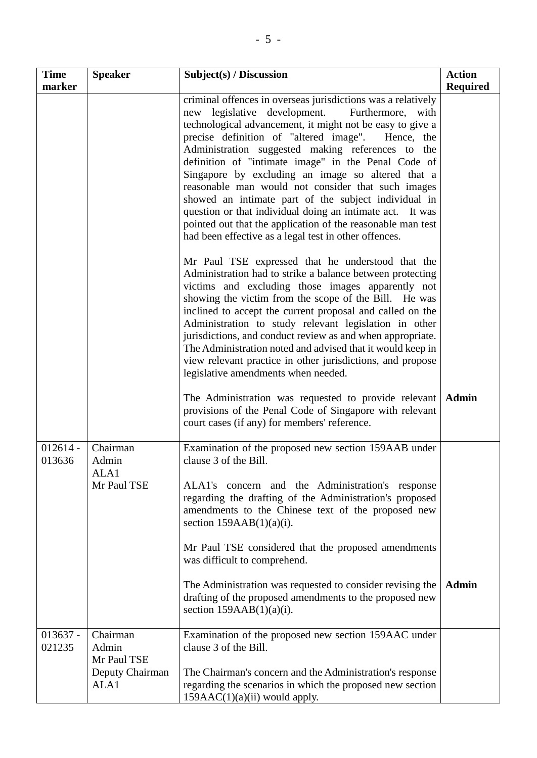| <b>Time</b><br>marker | <b>Speaker</b>                                              | Subject(s) / Discussion                                                                                                                                                                                                                                                                                                                                                                                                                                                                                                                                                                                                                                                                                 | <b>Action</b><br><b>Required</b> |
|-----------------------|-------------------------------------------------------------|---------------------------------------------------------------------------------------------------------------------------------------------------------------------------------------------------------------------------------------------------------------------------------------------------------------------------------------------------------------------------------------------------------------------------------------------------------------------------------------------------------------------------------------------------------------------------------------------------------------------------------------------------------------------------------------------------------|----------------------------------|
|                       |                                                             | criminal offences in overseas jurisdictions was a relatively<br>new legislative development. Furthermore, with<br>technological advancement, it might not be easy to give a<br>precise definition of "altered image".<br>Hence, the<br>Administration suggested making references to the<br>definition of "intimate image" in the Penal Code of<br>Singapore by excluding an image so altered that a<br>reasonable man would not consider that such images<br>showed an intimate part of the subject individual in<br>question or that individual doing an intimate act. It was<br>pointed out that the application of the reasonable man test<br>had been effective as a legal test in other offences. |                                  |
|                       |                                                             | Mr Paul TSE expressed that he understood that the<br>Administration had to strike a balance between protecting<br>victims and excluding those images apparently not<br>showing the victim from the scope of the Bill. He was<br>inclined to accept the current proposal and called on the<br>Administration to study relevant legislation in other<br>jurisdictions, and conduct review as and when appropriate.<br>The Administration noted and advised that it would keep in<br>view relevant practice in other jurisdictions, and propose<br>legislative amendments when needed.                                                                                                                     |                                  |
|                       |                                                             | The Administration was requested to provide relevant<br>provisions of the Penal Code of Singapore with relevant<br>court cases (if any) for members' reference.                                                                                                                                                                                                                                                                                                                                                                                                                                                                                                                                         | <b>Admin</b>                     |
| $012614 -$<br>013636  | Chairman<br>Admin<br>ALA1<br>Mr Paul TSE                    | Examination of the proposed new section 159AAB under<br>clause 3 of the Bill.<br>ALA1's concern and the Administration's response<br>regarding the drafting of the Administration's proposed<br>amendments to the Chinese text of the proposed new<br>section $159AAB(1)(a)(i)$ .<br>Mr Paul TSE considered that the proposed amendments<br>was difficult to comprehend.<br>The Administration was requested to consider revising the<br>drafting of the proposed amendments to the proposed new<br>section $159AAB(1)(a)(i)$ .                                                                                                                                                                         | <b>Admin</b>                     |
| $013637 -$<br>021235  | Chairman<br>Admin<br>Mr Paul TSE<br>Deputy Chairman<br>ALA1 | Examination of the proposed new section 159AAC under<br>clause 3 of the Bill.<br>The Chairman's concern and the Administration's response<br>regarding the scenarios in which the proposed new section<br>$159AAC(1)(a)(ii)$ would apply.                                                                                                                                                                                                                                                                                                                                                                                                                                                               |                                  |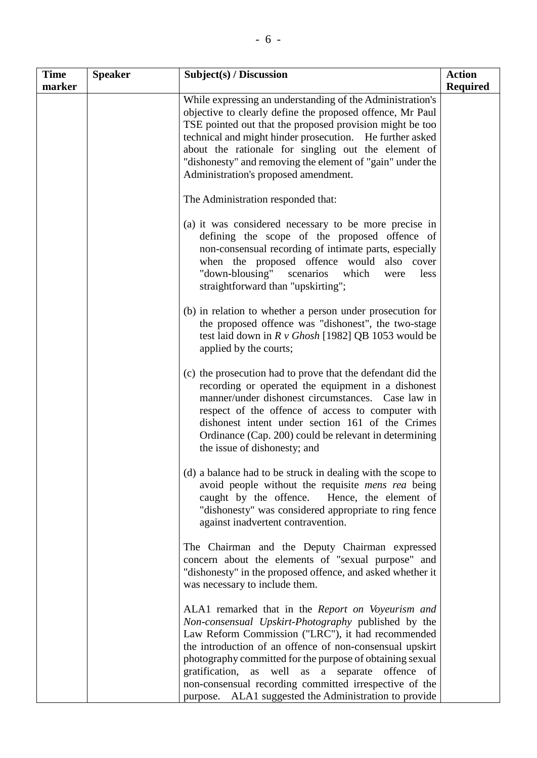| <b>Time</b><br>marker | <b>Speaker</b> | Subject(s) / Discussion                                                                                                                                                                                                                                                                                                                                                                                                                                            | <b>Action</b><br><b>Required</b> |
|-----------------------|----------------|--------------------------------------------------------------------------------------------------------------------------------------------------------------------------------------------------------------------------------------------------------------------------------------------------------------------------------------------------------------------------------------------------------------------------------------------------------------------|----------------------------------|
|                       |                | While expressing an understanding of the Administration's<br>objective to clearly define the proposed offence, Mr Paul<br>TSE pointed out that the proposed provision might be too<br>technical and might hinder prosecution. He further asked<br>about the rationale for singling out the element of<br>"dishonesty" and removing the element of "gain" under the<br>Administration's proposed amendment.                                                         |                                  |
|                       |                | The Administration responded that:                                                                                                                                                                                                                                                                                                                                                                                                                                 |                                  |
|                       |                | (a) it was considered necessary to be more precise in<br>defining the scope of the proposed offence of<br>non-consensual recording of intimate parts, especially<br>when the proposed offence would<br>also cover<br>"down-blousing" scenarios which<br>less<br>were<br>straightforward than "upskirting";                                                                                                                                                         |                                  |
|                       |                | (b) in relation to whether a person under prosecution for<br>the proposed offence was "dishonest", the two-stage<br>test laid down in $R v$ Ghosh [1982] QB 1053 would be<br>applied by the courts;                                                                                                                                                                                                                                                                |                                  |
|                       |                | (c) the prosecution had to prove that the defendant did the<br>recording or operated the equipment in a dishonest<br>manner/under dishonest circumstances. Case law in<br>respect of the offence of access to computer with<br>dishonest intent under section 161 of the Crimes<br>Ordinance (Cap. 200) could be relevant in determining<br>the issue of dishonesty; and                                                                                           |                                  |
|                       |                | (d) a balance had to be struck in dealing with the scope to<br>avoid people without the requisite <i>mens rea</i> being<br>caught by the offence.<br>Hence, the element of<br>"dishonesty" was considered appropriate to ring fence<br>against inadvertent contravention.                                                                                                                                                                                          |                                  |
|                       |                | The Chairman and the Deputy Chairman expressed<br>concern about the elements of "sexual purpose" and<br>"dishonesty" in the proposed offence, and asked whether it<br>was necessary to include them.                                                                                                                                                                                                                                                               |                                  |
|                       |                | ALA1 remarked that in the Report on Voyeurism and<br>Non-consensual Upskirt-Photography published by the<br>Law Reform Commission ("LRC"), it had recommended<br>the introduction of an offence of non-consensual upskirt<br>photography committed for the purpose of obtaining sexual<br>gratification,<br>well as a separate offence of<br>as<br>non-consensual recording committed irrespective of the<br>purpose. ALA1 suggested the Administration to provide |                                  |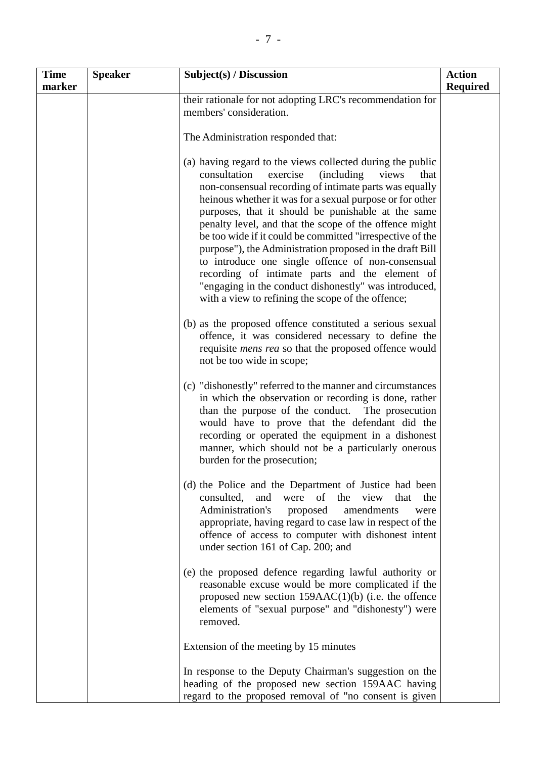| <b>Time</b> | <b>Speaker</b> | Subject(s) / Discussion                                                                                                                                                                                                                                                                                                                                                                                                                                                                                                                                                                                                                                                                                           | <b>Action</b>   |
|-------------|----------------|-------------------------------------------------------------------------------------------------------------------------------------------------------------------------------------------------------------------------------------------------------------------------------------------------------------------------------------------------------------------------------------------------------------------------------------------------------------------------------------------------------------------------------------------------------------------------------------------------------------------------------------------------------------------------------------------------------------------|-----------------|
| marker      |                |                                                                                                                                                                                                                                                                                                                                                                                                                                                                                                                                                                                                                                                                                                                   | <b>Required</b> |
|             |                | their rationale for not adopting LRC's recommendation for<br>members' consideration.                                                                                                                                                                                                                                                                                                                                                                                                                                                                                                                                                                                                                              |                 |
|             |                | The Administration responded that:                                                                                                                                                                                                                                                                                                                                                                                                                                                                                                                                                                                                                                                                                |                 |
|             |                | (a) having regard to the views collected during the public<br>consultation<br>exercise<br><i>(including)</i><br>views<br>that<br>non-consensual recording of intimate parts was equally<br>heinous whether it was for a sexual purpose or for other<br>purposes, that it should be punishable at the same<br>penalty level, and that the scope of the offence might<br>be too wide if it could be committed "irrespective of the<br>purpose"), the Administration proposed in the draft Bill<br>to introduce one single offence of non-consensual<br>recording of intimate parts and the element of<br>"engaging in the conduct dishonestly" was introduced,<br>with a view to refining the scope of the offence; |                 |
|             |                | (b) as the proposed offence constituted a serious sexual<br>offence, it was considered necessary to define the<br>requisite <i>mens rea</i> so that the proposed offence would<br>not be too wide in scope;                                                                                                                                                                                                                                                                                                                                                                                                                                                                                                       |                 |
|             |                | (c) "dishonestly" referred to the manner and circumstances<br>in which the observation or recording is done, rather<br>than the purpose of the conduct. The prosecution<br>would have to prove that the defendant did the<br>recording or operated the equipment in a dishonest<br>manner, which should not be a particularly onerous<br>burden for the prosecution;                                                                                                                                                                                                                                                                                                                                              |                 |
|             |                | (d) the Police and the Department of Justice had been<br>consulted,<br>and<br>of<br>the<br>were<br>view<br>that<br>the<br>Administration's<br>proposed<br>amendments<br>were<br>appropriate, having regard to case law in respect of the<br>offence of access to computer with dishonest intent<br>under section 161 of Cap. 200; and                                                                                                                                                                                                                                                                                                                                                                             |                 |
|             |                | (e) the proposed defence regarding lawful authority or<br>reasonable excuse would be more complicated if the<br>proposed new section $159AAC(1)(b)$ (i.e. the offence<br>elements of "sexual purpose" and "dishonesty") were<br>removed.                                                                                                                                                                                                                                                                                                                                                                                                                                                                          |                 |
|             |                | Extension of the meeting by 15 minutes                                                                                                                                                                                                                                                                                                                                                                                                                                                                                                                                                                                                                                                                            |                 |
|             |                | In response to the Deputy Chairman's suggestion on the<br>heading of the proposed new section 159AAC having<br>regard to the proposed removal of "no consent is given                                                                                                                                                                                                                                                                                                                                                                                                                                                                                                                                             |                 |